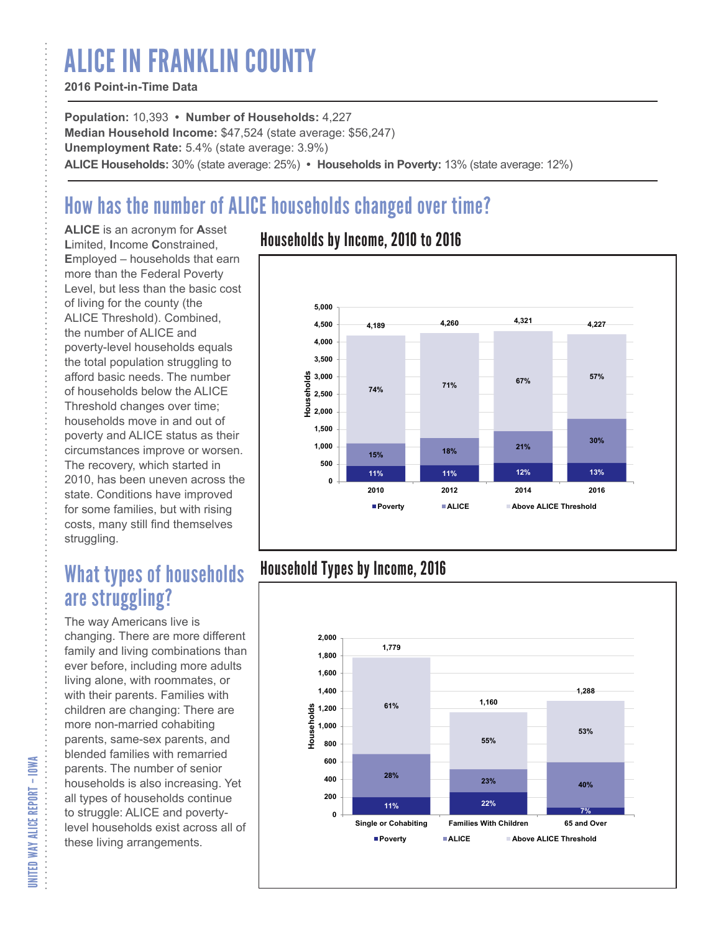# ALICE IN FRANKLIN COUNTY

#### **2016 Point-in-Time Data**

**Population:** 10,393 **• Number of Households:** 4,227 **Median Household Income:** \$47,524 (state average: \$56,247) **Unemployment Rate:** 5.4% (state average: 3.9%) **ALICE Households:** 30% (state average: 25%) **• Households in Poverty:** 13% (state average: 12%)

# How has the number of ALICE households changed over time?

**ALICE** is an acronym for **A**sset **L**imited, **I**ncome **C**onstrained, **E**mployed – households that earn more than the Federal Poverty Level, but less than the basic cost of living for the county (the ALICE Threshold). Combined, the number of ALICE and poverty-level households equals the total population struggling to afford basic needs. The number of households below the ALICE Threshold changes over time; households move in and out of poverty and ALICE status as their circumstances improve or worsen. The recovery, which started in 2010, has been uneven across the state. Conditions have improved for some families, but with rising costs, many still find themselves struggling.

## What types of households are struggling?

The way Americans live is changing. There are more different family and living combinations than ever before, including more adults living alone, with roommates, or with their parents. Families with children are changing: There are more non-married cohabiting parents, same-sex parents, and blended families with remarried parents. The number of senior households is also increasing. Yet all types of households continue to struggle: ALICE and povertylevel households exist across all of these living arrangements.

### Households by Income, 2010 to 2016



### Household Types by Income, 2016